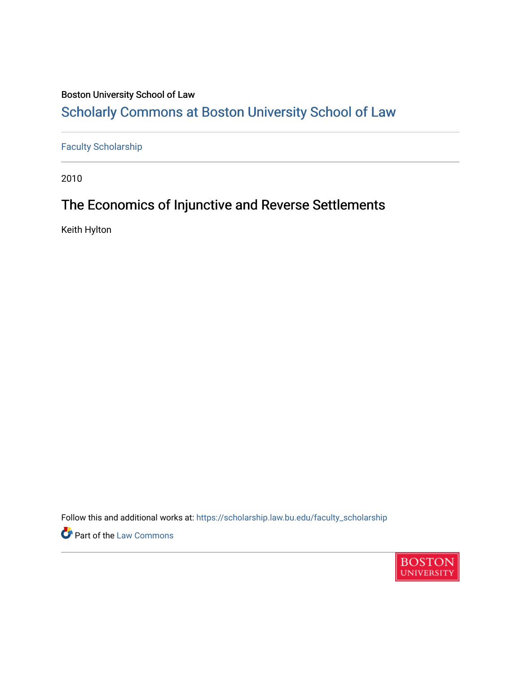## Boston University School of Law

# [Scholarly Commons at Boston University School of Law](https://scholarship.law.bu.edu/)

# [Faculty Scholarship](https://scholarship.law.bu.edu/faculty_scholarship)

2010

# The Economics of Injunctive and Reverse Settlements

Keith Hylton

Follow this and additional works at: [https://scholarship.law.bu.edu/faculty\\_scholarship](https://scholarship.law.bu.edu/faculty_scholarship?utm_source=scholarship.law.bu.edu%2Ffaculty_scholarship%2F764&utm_medium=PDF&utm_campaign=PDFCoverPages)

**Part of the [Law Commons](http://network.bepress.com/hgg/discipline/578?utm_source=scholarship.law.bu.edu%2Ffaculty_scholarship%2F764&utm_medium=PDF&utm_campaign=PDFCoverPages)** 

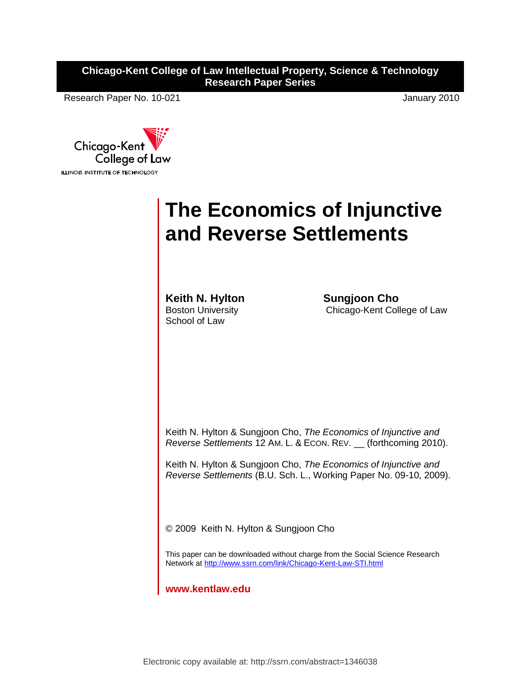**Chicago-Kent College of Law Intellectual Property, Science & Technology Research Paper Series**

Research Paper No. 10-021 **January 2010** 



# **The Economics of Injunctive and Reverse Settlements**

**Keith N. Hylton Sungjoon Cho** Boston University School of Law

Chicago-Kent College of Law

Keith N. Hylton & Sungjoon Cho, *The Economics of Injunctive and Reverse Settlements* 12 AM. L. & ECON. REV. \_\_ (forthcoming 2010).

Keith N. Hylton & Sungjoon Cho, *The Economics of Injunctive and Reverse Settlements* (B.U. Sch. L., Working Paper No. 09-10, 2009).

© 2009 Keith N. Hylton & Sungjoon Cho

This paper can be downloaded without charge from the Social Science Research Network at<http://www.ssrn.com/link/Chicago-Kent-Law-STI.html>

**www.kentlaw.edu**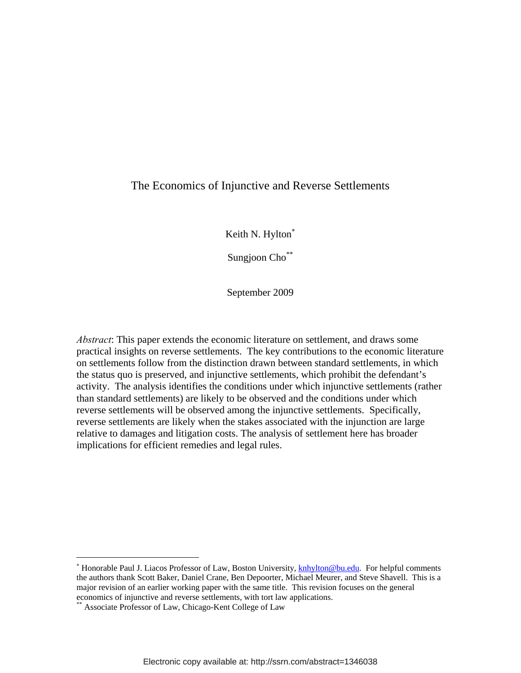## The Economics of Injunctive and Reverse Settlements

Keith N. Hylton

Sungjoon Cho<sup>\*\*</sup>

September 2009

*Abstract*: This paper extends the economic literature on settlement, and draws some practical insights on reverse settlements. The key contributions to the economic literature on settlements follow from the distinction drawn between standard settlements, in which the status quo is preserved, and injunctive settlements, which prohibit the defendant's activity. The analysis identifies the conditions under which injunctive settlements (rather than standard settlements) are likely to be observed and the conditions under which reverse settlements will be observed among the injunctive settlements. Specifically, reverse settlements are likely when the stakes associated with the injunction are large relative to damages and litigation costs. The analysis of settlement here has broader implications for efficient remedies and legal rules.

1

<sup>\*</sup> Honorable Paul J. Liacos Professor of Law, Boston University, **knhylton@bu.edu.** For helpful comments the authors thank Scott Baker, Daniel Crane, Ben Depoorter, Michael Meurer, and Steve Shavell. This is a major revision of an earlier working paper with the same title. This revision focuses on the general economics of injunctive and reverse settlements, with tort law applications.

Associate Professor of Law, Chicago-Kent College of Law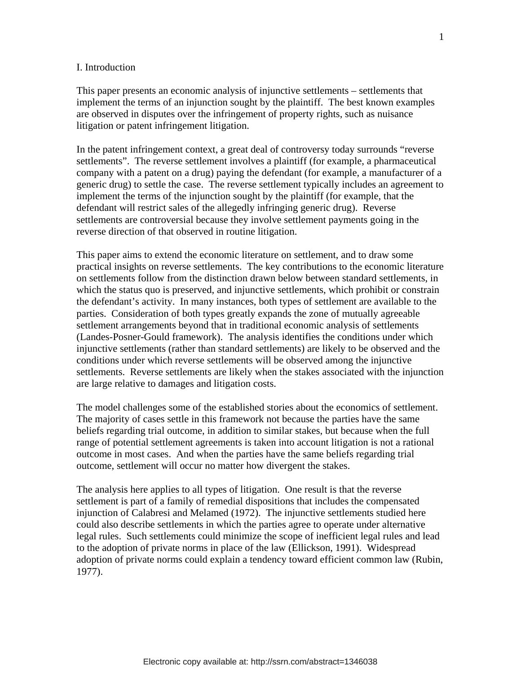#### I. Introduction

This paper presents an economic analysis of injunctive settlements – settlements that implement the terms of an injunction sought by the plaintiff. The best known examples are observed in disputes over the infringement of property rights, such as nuisance litigation or patent infringement litigation.

In the patent infringement context, a great deal of controversy today surrounds "reverse settlements". The reverse settlement involves a plaintiff (for example, a pharmaceutical company with a patent on a drug) paying the defendant (for example, a manufacturer of a generic drug) to settle the case. The reverse settlement typically includes an agreement to implement the terms of the injunction sought by the plaintiff (for example, that the defendant will restrict sales of the allegedly infringing generic drug). Reverse settlements are controversial because they involve settlement payments going in the reverse direction of that observed in routine litigation.

This paper aims to extend the economic literature on settlement, and to draw some practical insights on reverse settlements. The key contributions to the economic literature on settlements follow from the distinction drawn below between standard settlements, in which the status quo is preserved, and injunctive settlements, which prohibit or constrain the defendant's activity. In many instances, both types of settlement are available to the parties. Consideration of both types greatly expands the zone of mutually agreeable settlement arrangements beyond that in traditional economic analysis of settlements (Landes-Posner-Gould framework). The analysis identifies the conditions under which injunctive settlements (rather than standard settlements) are likely to be observed and the conditions under which reverse settlements will be observed among the injunctive settlements. Reverse settlements are likely when the stakes associated with the injunction are large relative to damages and litigation costs.

The model challenges some of the established stories about the economics of settlement. The majority of cases settle in this framework not because the parties have the same beliefs regarding trial outcome, in addition to similar stakes, but because when the full range of potential settlement agreements is taken into account litigation is not a rational outcome in most cases. And when the parties have the same beliefs regarding trial outcome, settlement will occur no matter how divergent the stakes.

The analysis here applies to all types of litigation. One result is that the reverse settlement is part of a family of remedial dispositions that includes the compensated injunction of Calabresi and Melamed (1972). The injunctive settlements studied here could also describe settlements in which the parties agree to operate under alternative legal rules. Such settlements could minimize the scope of inefficient legal rules and lead to the adoption of private norms in place of the law (Ellickson, 1991). Widespread adoption of private norms could explain a tendency toward efficient common law (Rubin, 1977).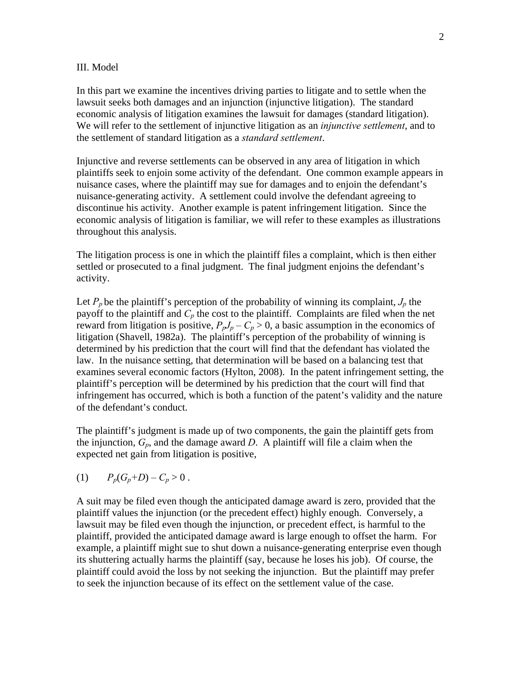#### III. Model

In this part we examine the incentives driving parties to litigate and to settle when the lawsuit seeks both damages and an injunction (injunctive litigation). The standard economic analysis of litigation examines the lawsuit for damages (standard litigation). We will refer to the settlement of injunctive litigation as an *injunctive settlement*, and to the settlement of standard litigation as a *standard settlement*.

Injunctive and reverse settlements can be observed in any area of litigation in which plaintiffs seek to enjoin some activity of the defendant. One common example appears in nuisance cases, where the plaintiff may sue for damages and to enjoin the defendant's nuisance-generating activity. A settlement could involve the defendant agreeing to discontinue his activity. Another example is patent infringement litigation. Since the economic analysis of litigation is familiar, we will refer to these examples as illustrations throughout this analysis.

The litigation process is one in which the plaintiff files a complaint, which is then either settled or prosecuted to a final judgment. The final judgment enjoins the defendant's activity.

Let  $P_p$  be the plaintiff's perception of the probability of winning its complaint,  $J_p$  the payoff to the plaintiff and  $C_p$  the cost to the plaintiff. Complaints are filed when the net reward from litigation is positive,  $P_pJ_p - C_p > 0$ , a basic assumption in the economics of litigation (Shavell, 1982a). The plaintiff's perception of the probability of winning is determined by his prediction that the court will find that the defendant has violated the law. In the nuisance setting, that determination will be based on a balancing test that examines several economic factors (Hylton, 2008). In the patent infringement setting, the plaintiff's perception will be determined by his prediction that the court will find that infringement has occurred, which is both a function of the patent's validity and the nature of the defendant's conduct.

The plaintiff's judgment is made up of two components, the gain the plaintiff gets from the injunction,  $G_p$ , and the damage award *D*. A plaintiff will file a claim when the expected net gain from litigation is positive,

(1) 
$$
P_p(G_p+D) - C_p > 0
$$
.

A suit may be filed even though the anticipated damage award is zero, provided that the plaintiff values the injunction (or the precedent effect) highly enough. Conversely, a lawsuit may be filed even though the injunction, or precedent effect, is harmful to the plaintiff, provided the anticipated damage award is large enough to offset the harm. For example, a plaintiff might sue to shut down a nuisance-generating enterprise even though its shuttering actually harms the plaintiff (say, because he loses his job). Of course, the plaintiff could avoid the loss by not seeking the injunction. But the plaintiff may prefer to seek the injunction because of its effect on the settlement value of the case.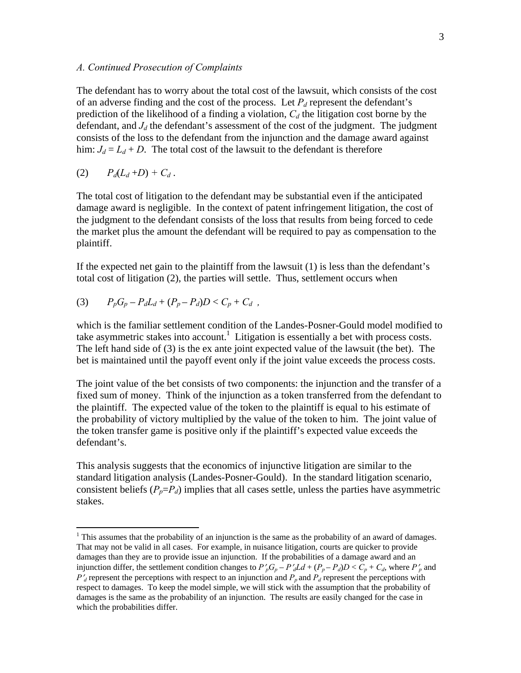#### *A. Continued Prosecution of Complaints*

The defendant has to worry about the total cost of the lawsuit, which consists of the cost of an adverse finding and the cost of the process. Let  $P_d$  represent the defendant's prediction of the likelihood of a finding a violation,  $C_d$  the litigation cost borne by the defendant, and  $J_d$  the defendant's assessment of the cost of the judgment. The judgment consists of the loss to the defendant from the injunction and the damage award against him:  $J_d = L_d + D$ . The total cost of the lawsuit to the defendant is therefore

$$
(2) \qquad P_d(L_d+D)+C_d.
$$

 $\overline{a}$ 

The total cost of litigation to the defendant may be substantial even if the anticipated damage award is negligible. In the context of patent infringement litigation, the cost of the judgment to the defendant consists of the loss that results from being forced to cede the market plus the amount the defendant will be required to pay as compensation to the plaintiff.

If the expected net gain to the plaintiff from the lawsuit (1) is less than the defendant's total cost of litigation (2), the parties will settle. Thus, settlement occurs when

(3) 
$$
P_p G_p - P_d L_d + (P_p - P_d) D < C_p + C_d
$$
,

which is the familiar settlement condition of the Landes-Posner-Gould model modified to take asymmetric stakes into account.<sup>1</sup> Litigation is essentially a bet with process costs. The left hand side of (3) is the ex ante joint expected value of the lawsuit (the bet). The bet is maintained until the payoff event only if the joint value exceeds the process costs.

The joint value of the bet consists of two components: the injunction and the transfer of a fixed sum of money. Think of the injunction as a token transferred from the defendant to the plaintiff. The expected value of the token to the plaintiff is equal to his estimate of the probability of victory multiplied by the value of the token to him. The joint value of the token transfer game is positive only if the plaintiff's expected value exceeds the defendant's.

This analysis suggests that the economics of injunctive litigation are similar to the standard litigation analysis (Landes-Posner-Gould). In the standard litigation scenario, consistent beliefs  $(P_p = P_d)$  implies that all cases settle, unless the parties have asymmetric stakes.

<sup>&</sup>lt;sup>1</sup> This assumes that the probability of an injunction is the same as the probability of an award of damages. That may not be valid in all cases. For example, in nuisance litigation, courts are quicker to provide damages than they are to provide issue an injunction. If the probabilities of a damage award and an injunction differ, the settlement condition changes to  $P'_pG_p - P'_dLd + (P_p - P_d)D < C_p + C_d$ , where  $P'_p$  and  $P'$ <sup>d</sup> represent the perceptions with respect to an injunction and  $P_p$  and  $P_d$  represent the perceptions with respect to damages. To keep the model simple, we will stick with the assumption that the probability of damages is the same as the probability of an injunction. The results are easily changed for the case in which the probabilities differ.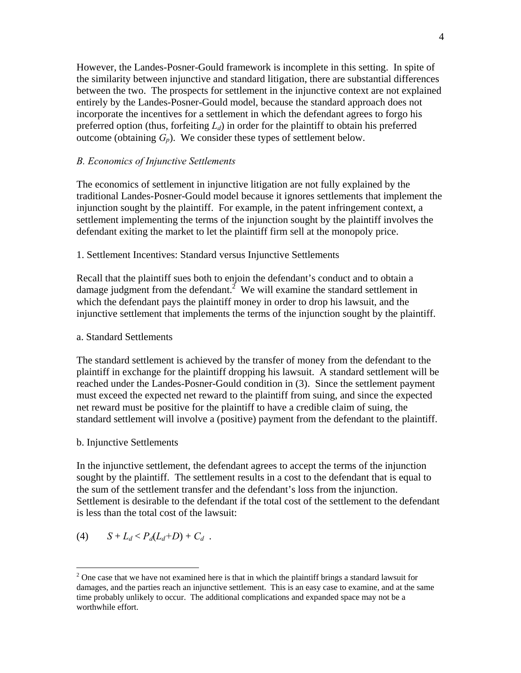However, the Landes-Posner-Gould framework is incomplete in this setting. In spite of the similarity between injunctive and standard litigation, there are substantial differences between the two. The prospects for settlement in the injunctive context are not explained entirely by the Landes-Posner-Gould model, because the standard approach does not incorporate the incentives for a settlement in which the defendant agrees to forgo his preferred option (thus, forfeiting  $L_d$ ) in order for the plaintiff to obtain his preferred outcome (obtaining  $G_p$ ). We consider these types of settlement below.

#### *B. Economics of Injunctive Settlements*

The economics of settlement in injunctive litigation are not fully explained by the traditional Landes-Posner-Gould model because it ignores settlements that implement the injunction sought by the plaintiff. For example, in the patent infringement context, a settlement implementing the terms of the injunction sought by the plaintiff involves the defendant exiting the market to let the plaintiff firm sell at the monopoly price.

#### 1. Settlement Incentives: Standard versus Injunctive Settlements

Recall that the plaintiff sues both to enjoin the defendant's conduct and to obtain a damage judgment from the defendant.<sup>2</sup> We will examine the standard settlement in which the defendant pays the plaintiff money in order to drop his lawsuit, and the injunctive settlement that implements the terms of the injunction sought by the plaintiff.

#### a. Standard Settlements

The standard settlement is achieved by the transfer of money from the defendant to the plaintiff in exchange for the plaintiff dropping his lawsuit. A standard settlement will be reached under the Landes-Posner-Gould condition in (3). Since the settlement payment must exceed the expected net reward to the plaintiff from suing, and since the expected net reward must be positive for the plaintiff to have a credible claim of suing, the standard settlement will involve a (positive) payment from the defendant to the plaintiff.

#### b. Injunctive Settlements

In the injunctive settlement, the defendant agrees to accept the terms of the injunction sought by the plaintiff. The settlement results in a cost to the defendant that is equal to the sum of the settlement transfer and the defendant's loss from the injunction. Settlement is desirable to the defendant if the total cost of the settlement to the defendant is less than the total cost of the lawsuit:

(4) 
$$
S + L_d < P_d(L_d+D) + C_d
$$
.

 $\overline{a}$ 

 $2^2$  One case that we have not examined here is that in which the plaintiff brings a standard lawsuit for damages, and the parties reach an injunctive settlement. This is an easy case to examine, and at the same time probably unlikely to occur. The additional complications and expanded space may not be a worthwhile effort.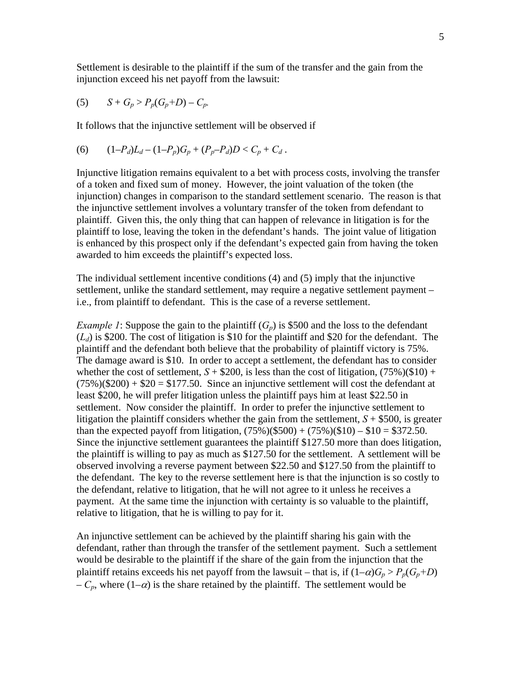Settlement is desirable to the plaintiff if the sum of the transfer and the gain from the injunction exceed his net payoff from the lawsuit:

(5) 
$$
S + G_p > P_p(G_p + D) - C_p
$$
.

It follows that the injunctive settlement will be observed if

(6) 
$$
(1-P_d)L_d - (1-P_p)G_p + (P_p-P_d)D < C_p + C_d.
$$

Injunctive litigation remains equivalent to a bet with process costs, involving the transfer of a token and fixed sum of money. However, the joint valuation of the token (the injunction) changes in comparison to the standard settlement scenario. The reason is that the injunctive settlement involves a voluntary transfer of the token from defendant to plaintiff. Given this, the only thing that can happen of relevance in litigation is for the plaintiff to lose, leaving the token in the defendant's hands. The joint value of litigation is enhanced by this prospect only if the defendant's expected gain from having the token awarded to him exceeds the plaintiff's expected loss.

The individual settlement incentive conditions (4) and (5) imply that the injunctive settlement, unlike the standard settlement, may require a negative settlement payment – i.e., from plaintiff to defendant. This is the case of a reverse settlement.

*Example 1*: Suppose the gain to the plaintiff  $(G_p)$  is \$500 and the loss to the defendant  $(L_d)$  is \$200. The cost of litigation is \$10 for the plaintiff and \$20 for the defendant. The plaintiff and the defendant both believe that the probability of plaintiff victory is 75%. The damage award is \$10. In order to accept a settlement, the defendant has to consider whether the cost of settlement,  $S + $200$ , is less than the cost of litigation,  $(75\%) ($10) +$  $(75\%)$ (\$200) + \$20 = \$177.50. Since an injunctive settlement will cost the defendant at least \$200, he will prefer litigation unless the plaintiff pays him at least \$22.50 in settlement. Now consider the plaintiff. In order to prefer the injunctive settlement to litigation the plaintiff considers whether the gain from the settlement,  $S + $500$ , is greater than the expected payoff from litigation,  $(75\%)$ (\$500) +  $(75\%)$ (\$10) – \$10 = \$372.50. Since the injunctive settlement guarantees the plaintiff \$127.50 more than does litigation, the plaintiff is willing to pay as much as \$127.50 for the settlement. A settlement will be observed involving a reverse payment between \$22.50 and \$127.50 from the plaintiff to the defendant. The key to the reverse settlement here is that the injunction is so costly to the defendant, relative to litigation, that he will not agree to it unless he receives a payment. At the same time the injunction with certainty is so valuable to the plaintiff, relative to litigation, that he is willing to pay for it.

An injunctive settlement can be achieved by the plaintiff sharing his gain with the defendant, rather than through the transfer of the settlement payment. Such a settlement would be desirable to the plaintiff if the share of the gain from the injunction that the plaintiff retains exceeds his net payoff from the lawsuit – that is, if  $(1-\alpha)G_p > P_p(G_p+D)$  $-C_p$ , where  $(1-\alpha)$  is the share retained by the plaintiff. The settlement would be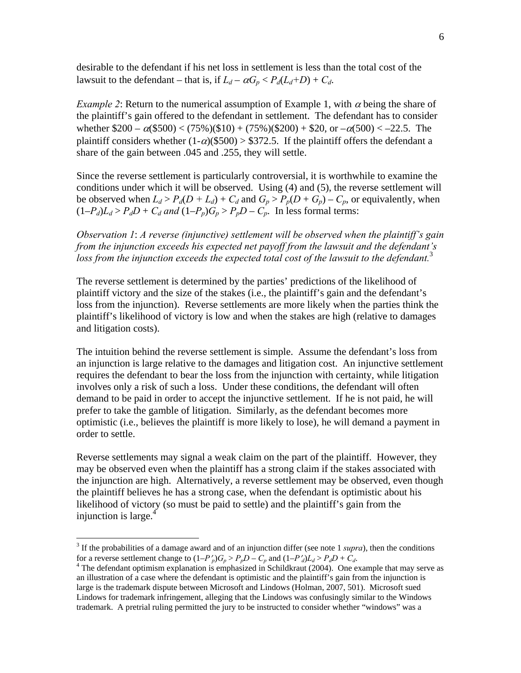desirable to the defendant if his net loss in settlement is less than the total cost of the lawsuit to the defendant – that is, if  $L_d - \alpha G_p < P_d(L_d+D) + C_d$ .

*Example 2*: Return to the numerical assumption of Example 1, with  $\alpha$  being the share of the plaintiff's gain offered to the defendant in settlement. The defendant has to consider whether  $$200 - \alpha ($500) < (75\%) ($10) + (75\%) ($200) + $20$ , or  $-\alpha ($00) < -22.5$ . The plaintiff considers whether  $(1-\alpha)(\$500) > \$372.5$ . If the plaintiff offers the defendant a share of the gain between .045 and .255, they will settle.

Since the reverse settlement is particularly controversial, it is worthwhile to examine the conditions under which it will be observed. Using (4) and (5), the reverse settlement will be observed when  $L_d > P_d(D + L_d) + C_d$  and  $G_p > P_p(D + G_p) - C_p$ , or equivalently, when  $(1-P_d)L_d > P_dD + C_d$  and  $(1-P_p)G_p > P_pD - C_p$ . In less formal terms:

*Observation 1*: *A reverse (injunctive) settlement will be observed when the plaintiff's gain from the injunction exceeds his expected net payoff from the lawsuit and the defendant's*  loss from the injunction exceeds the expected total cost of the lawsuit to the defendant.<sup>3</sup>

The reverse settlement is determined by the parties' predictions of the likelihood of plaintiff victory and the size of the stakes (i.e., the plaintiff's gain and the defendant's loss from the injunction). Reverse settlements are more likely when the parties think the plaintiff's likelihood of victory is low and when the stakes are high (relative to damages and litigation costs).

The intuition behind the reverse settlement is simple. Assume the defendant's loss from an injunction is large relative to the damages and litigation cost. An injunctive settlement requires the defendant to bear the loss from the injunction with certainty, while litigation involves only a risk of such a loss. Under these conditions, the defendant will often demand to be paid in order to accept the injunctive settlement. If he is not paid, he will prefer to take the gamble of litigation. Similarly, as the defendant becomes more optimistic (i.e., believes the plaintiff is more likely to lose), he will demand a payment in order to settle.

Reverse settlements may signal a weak claim on the part of the plaintiff. However, they may be observed even when the plaintiff has a strong claim if the stakes associated with the injunction are high. Alternatively, a reverse settlement may be observed, even though the plaintiff believes he has a strong case, when the defendant is optimistic about his likelihood of victory (so must be paid to settle) and the plaintiff's gain from the injunction is large.<sup>4</sup>

 $\overline{a}$ 

<sup>&</sup>lt;sup>3</sup> If the probabilities of a damage award and of an injunction differ (see note 1 *supra*), then the conditions for a reverse settlement change to  $(1-P_p')G_p > P_pD - C_p$  and  $(1-P_d')L_d > P_dD + C_d$ .

<sup>&</sup>lt;sup>4</sup> The defendant optimism explanation is emphasized in Schildkraut (2004). One example that may serve as an illustration of a case where the defendant is optimistic and the plaintiff's gain from the injunction is large is the trademark dispute between Microsoft and Lindows (Holman, 2007, 501). Microsoft sued Lindows for trademark infringement, alleging that the Lindows was confusingly similar to the Windows trademark. A pretrial ruling permitted the jury to be instructed to consider whether "windows" was a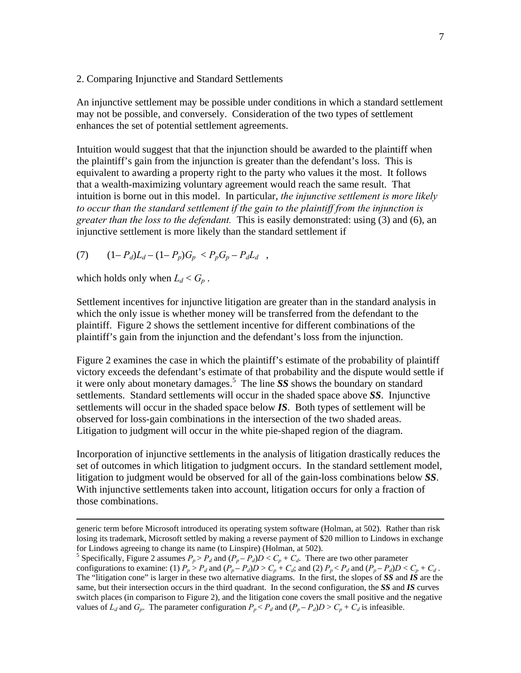2. Comparing Injunctive and Standard Settlements

An injunctive settlement may be possible under conditions in which a standard settlement may not be possible, and conversely. Consideration of the two types of settlement enhances the set of potential settlement agreements.

Intuition would suggest that that the injunction should be awarded to the plaintiff when the plaintiff's gain from the injunction is greater than the defendant's loss. This is equivalent to awarding a property right to the party who values it the most. It follows that a wealth-maximizing voluntary agreement would reach the same result. That intuition is borne out in this model. In particular, *the injunctive settlement is more likely to occur than the standard settlement if the gain to the plaintiff from the injunction is greater than the loss to the defendant.* This is easily demonstrated: using (3) and (6), an injunctive settlement is more likely than the standard settlement if

(7) 
$$
(1 - P_d)L_d - (1 - P_p)G_p < P_p G_p - P_d L_d \quad ,
$$

which holds only when  $L_d < G_p$ .

Settlement incentives for injunctive litigation are greater than in the standard analysis in which the only issue is whether money will be transferred from the defendant to the plaintiff. Figure 2 shows the settlement incentive for different combinations of the plaintiff's gain from the injunction and the defendant's loss from the injunction.

Figure 2 examines the case in which the plaintiff's estimate of the probability of plaintiff victory exceeds the defendant's estimate of that probability and the dispute would settle if it were only about monetary damages.<sup>5</sup> The line *SS* shows the boundary on standard settlements. Standard settlements will occur in the shaded space above *SS*. Injunctive settlements will occur in the shaded space below *IS*. Both types of settlement will be observed for loss-gain combinations in the intersection of the two shaded areas. Litigation to judgment will occur in the white pie-shaped region of the diagram.

Incorporation of injunctive settlements in the analysis of litigation drastically reduces the set of outcomes in which litigation to judgment occurs. In the standard settlement model, litigation to judgment would be observed for all of the gain-loss combinations below *SS*. With injunctive settlements taken into account, litigation occurs for only a fraction of those combinations.

generic term before Microsoft introduced its operating system software (Holman, at 502). Rather than risk losing its trademark, Microsoft settled by making a reverse payment of \$20 million to Lindows in exchange for Lindows agreeing to change its name (to Linspire) (Holman, at 502).

<sup>&</sup>lt;sup>5</sup> Specifically, Figure 2 assumes  $P_p > P_d$  and  $(P_p - P_d)D < C_p + C_d$ . There are two other parameter configurations to examine: (1)  $P_p > P_d$  and  $(P_p - P_d)D > C_p + C_d$ ; and (2)  $P_p < P_d$  and  $(P_p - P_d)D < C_p + C_d$ . The "litigation cone" is larger in these two alternative diagrams. In the first, the slopes of *SS* and *IS* are the same, but their intersection occurs in the third quadrant. In the second configuration, the *SS* and *IS* curves switch places (in comparison to Figure 2), and the litigation cone covers the small positive and the negative values of  $L_d$  and  $G_p$ . The parameter configuration  $P_p < P_d$  and  $(P_p - P_d)D > C_p + C_d$  is infeasible.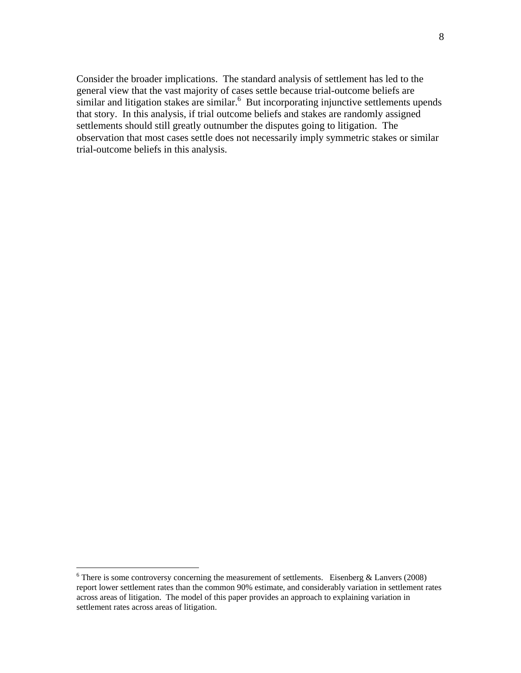Consider the broader implications. The standard analysis of settlement has led to the general view that the vast majority of cases settle because trial-outcome beliefs are similar and litigation stakes are similar.<sup>6</sup> But incorporating injunctive settlements upends that story. In this analysis, if trial outcome beliefs and stakes are randomly assigned settlements should still greatly outnumber the disputes going to litigation. The observation that most cases settle does not necessarily imply symmetric stakes or similar trial-outcome beliefs in this analysis.

<sup>&</sup>lt;sup>6</sup>There is some controversy concerning the measurement of settlements. Eisenberg & Lanvers (2008) report lower settlement rates than the common 90% estimate, and considerably variation in settlement rates across areas of litigation. The model of this paper provides an approach to explaining variation in settlement rates across areas of litigation.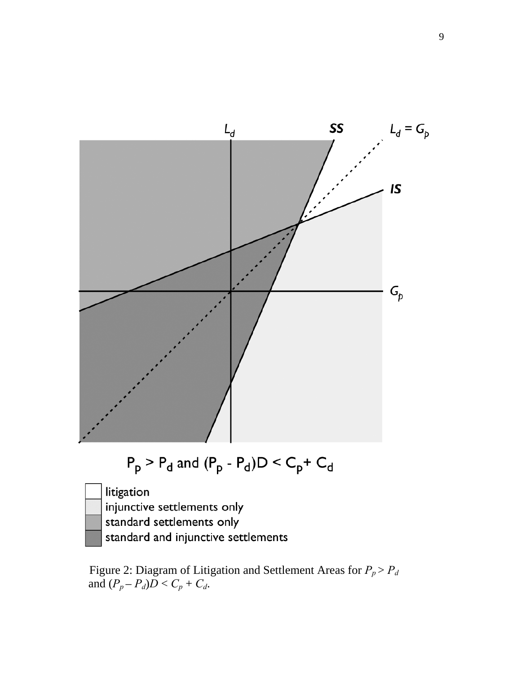

Figure 2: Diagram of Litigation and Settlement Areas for  $P_p > P_d$ and  $(P_p - P_d)D < C_p + C_d$ .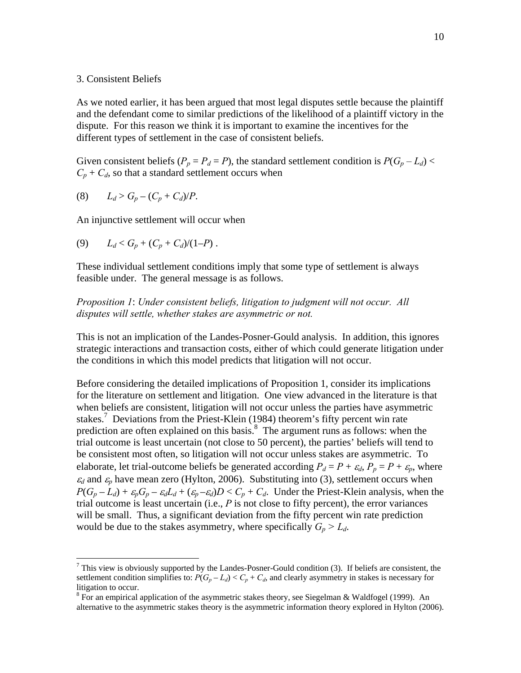#### 3. Consistent Beliefs

As we noted earlier, it has been argued that most legal disputes settle because the plaintiff and the defendant come to similar predictions of the likelihood of a plaintiff victory in the dispute. For this reason we think it is important to examine the incentives for the different types of settlement in the case of consistent beliefs.

Given consistent beliefs ( $P_p = P_d = P$ ), the standard settlement condition is  $P(G_p - L_d)$  $C_p + C_d$ , so that a standard settlement occurs when

(8) 
$$
L_d > G_p - (C_p + C_d)/P
$$
.

 $\overline{a}$ 

An injunctive settlement will occur when

(9) 
$$
L_d < G_p + (C_p + C_d)/(1-P)
$$
.

These individual settlement conditions imply that some type of settlement is always feasible under. The general message is as follows.

*Proposition 1*: *Under consistent beliefs, litigation to judgment will not occur. All disputes will settle, whether stakes are asymmetric or not.*

This is not an implication of the Landes-Posner-Gould analysis. In addition, this ignores strategic interactions and transaction costs, either of which could generate litigation under the conditions in which this model predicts that litigation will not occur.

Before considering the detailed implications of Proposition 1, consider its implications for the literature on settlement and litigation. One view advanced in the literature is that when beliefs are consistent, litigation will not occur unless the parties have asymmetric stakes.<sup>7</sup> Deviations from the Priest-Klein (1984) theorem's fifty percent win rate prediction are often explained on this basis. $8\text{ The argument runs as follows: when the}$ trial outcome is least uncertain (not close to 50 percent), the parties' beliefs will tend to be consistent most often, so litigation will not occur unless stakes are asymmetric. To elaborate, let trial-outcome beliefs be generated according  $P_d = P + \varepsilon_d$ ,  $P_p = P + \varepsilon_p$ , where  $\varepsilon_d$  and  $\varepsilon_p$  have mean zero (Hylton, 2006). Substituting into (3), settlement occurs when  $P(G_p - L_d) + \varepsilon_p G_p - \varepsilon_d L_d + (\varepsilon_p - \varepsilon_d)D < C_p + C_d$ . Under the Priest-Klein analysis, when the trial outcome is least uncertain (i.e.,  $P$  is not close to fifty percent), the error variances will be small. Thus, a significant deviation from the fifty percent win rate prediction would be due to the stakes asymmetry, where specifically  $G_p > L_d$ .

 $<sup>7</sup>$  This view is obviously supported by the Landes-Posner-Gould condition (3). If beliefs are consistent, the</sup> settlement condition simplifies to:  $P(G_p - L_d) < C_p + C_d$ , and clearly asymmetry in stakes is necessary for litigation to occur.

 $8$  For an empirical application of the asymmetric stakes theory, see Siegelman & Waldfogel (1999). An alternative to the asymmetric stakes theory is the asymmetric information theory explored in Hylton (2006).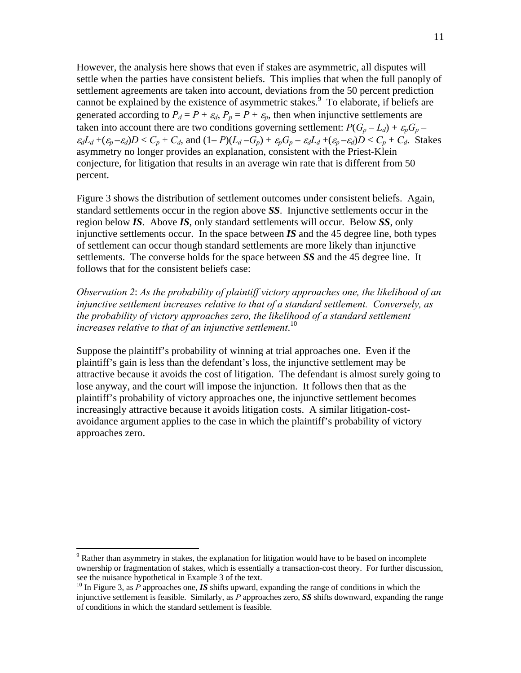However, the analysis here shows that even if stakes are asymmetric, all disputes will settle when the parties have consistent beliefs. This implies that when the full panoply of settlement agreements are taken into account, deviations from the 50 percent prediction cannot be explained by the existence of asymmetric stakes.<sup>9</sup> To elaborate, if beliefs are generated according to  $P_d = P + \varepsilon_d$ ,  $P_p = P + \varepsilon_p$ , then when injunctive settlements are taken into account there are two conditions governing settlement:  $P(G_p - L_d) + \varepsilon_p G_p$  $\varepsilon_d L_d + (\varepsilon_p - \varepsilon_d)D < C_p + C_d$ , and  $(1-P)(L_d - G_p) + \varepsilon_p G_p - \varepsilon_d L_d + (\varepsilon_p - \varepsilon_d)D < C_p + C_d$ . Stakes asymmetry no longer provides an explanation, consistent with the Priest-Klein conjecture, for litigation that results in an average win rate that is different from 50 percent.

Figure 3 shows the distribution of settlement outcomes under consistent beliefs. Again, standard settlements occur in the region above *SS*. Injunctive settlements occur in the region below *IS*. Above *IS*, only standard settlements will occur. Below *SS*, only injunctive settlements occur. In the space between *IS* and the 45 degree line, both types of settlement can occur though standard settlements are more likely than injunctive settlements. The converse holds for the space between *SS* and the 45 degree line. It follows that for the consistent beliefs case:

*Observation 2*: *As the probability of plaintiff victory approaches one, the likelihood of an injunctive settlement increases relative to that of a standard settlement. Conversely, as the probability of victory approaches zero, the likelihood of a standard settlement increases relative to that of an injunctive settlement*. 10

Suppose the plaintiff's probability of winning at trial approaches one. Even if the plaintiff's gain is less than the defendant's loss, the injunctive settlement may be attractive because it avoids the cost of litigation. The defendant is almost surely going to lose anyway, and the court will impose the injunction. It follows then that as the plaintiff's probability of victory approaches one, the injunctive settlement becomes increasingly attractive because it avoids litigation costs. A similar litigation-costavoidance argument applies to the case in which the plaintiff's probability of victory approaches zero.

1

 $9$  Rather than asymmetry in stakes, the explanation for litigation would have to be based on incomplete ownership or fragmentation of stakes, which is essentially a transaction-cost theory. For further discussion,

<sup>&</sup>lt;sup>10</sup> In Figure 3, as  $\vec{P}$  approaches one, *IS* shifts upward, expanding the range of conditions in which the injunctive settlement is feasible. Similarly, as *P* approaches zero, *SS* shifts downward, expanding the range of conditions in which the standard settlement is feasible.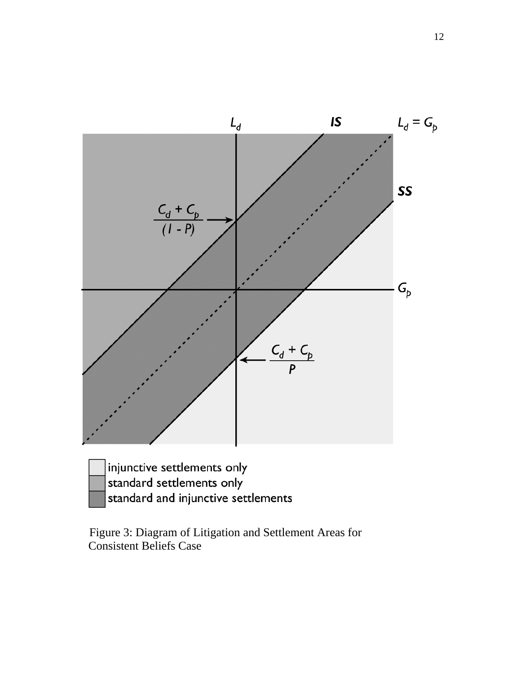

| injunctive settlements only         |
|-------------------------------------|
| standard settlements only           |
| standard and injunctive settlements |

 Figure 3: Diagram of Litigation and Settlement Areas for Consistent Beliefs Case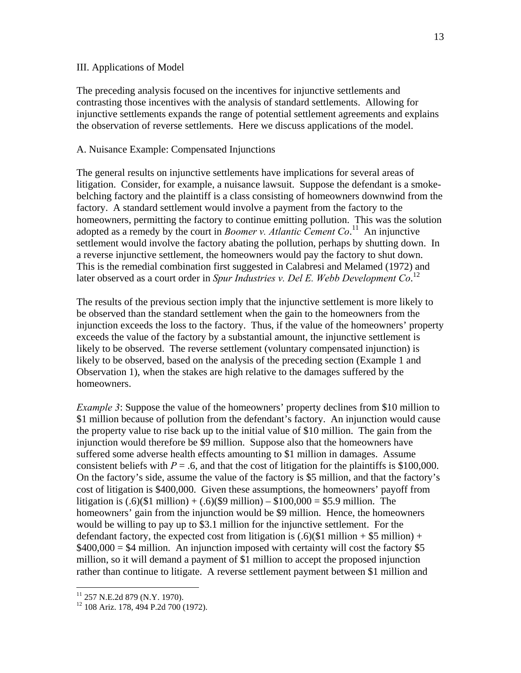#### III. Applications of Model

The preceding analysis focused on the incentives for injunctive settlements and contrasting those incentives with the analysis of standard settlements. Allowing for injunctive settlements expands the range of potential settlement agreements and explains the observation of reverse settlements. Here we discuss applications of the model.

#### A. Nuisance Example: Compensated Injunctions

The general results on injunctive settlements have implications for several areas of litigation. Consider, for example, a nuisance lawsuit. Suppose the defendant is a smokebelching factory and the plaintiff is a class consisting of homeowners downwind from the factory. A standard settlement would involve a payment from the factory to the homeowners, permitting the factory to continue emitting pollution. This was the solution adopted as a remedy by the court in *Boomer v. Atlantic Cement Co*.<sup>11</sup> An injunctive settlement would involve the factory abating the pollution, perhaps by shutting down. In a reverse injunctive settlement, the homeowners would pay the factory to shut down. This is the remedial combination first suggested in Calabresi and Melamed (1972) and later observed as a court order in *Spur Industries v. Del E. Webb Development Co*. 12

The results of the previous section imply that the injunctive settlement is more likely to be observed than the standard settlement when the gain to the homeowners from the injunction exceeds the loss to the factory. Thus, if the value of the homeowners' property exceeds the value of the factory by a substantial amount, the injunctive settlement is likely to be observed. The reverse settlement (voluntary compensated injunction) is likely to be observed, based on the analysis of the preceding section (Example 1 and Observation 1), when the stakes are high relative to the damages suffered by the homeowners.

*Example 3*: Suppose the value of the homeowners' property declines from \$10 million to \$1 million because of pollution from the defendant's factory. An injunction would cause the property value to rise back up to the initial value of \$10 million. The gain from the injunction would therefore be \$9 million. Suppose also that the homeowners have suffered some adverse health effects amounting to \$1 million in damages. Assume consistent beliefs with  $P = .6$ , and that the cost of litigation for the plaintiffs is \$100,000. On the factory's side, assume the value of the factory is \$5 million, and that the factory's cost of litigation is \$400,000. Given these assumptions, the homeowners' payoff from litigation is  $(.6)(\$1$  million) +  $(.6)(\$9$  million) –  $\$100,000 = \$5.9$  million. The homeowners' gain from the injunction would be \$9 million. Hence, the homeowners would be willing to pay up to \$3.1 million for the injunctive settlement. For the defendant factory, the expected cost from litigation is  $(.6)(\$1$  million +  $\$5$  million) +  $$400,000 = $4$  million. An injunction imposed with certainty will cost the factory \$5 million, so it will demand a payment of \$1 million to accept the proposed injunction rather than continue to litigate. A reverse settlement payment between \$1 million and

1

<sup>&</sup>lt;sup>11</sup> 257 N.E.2d 879 (N.Y. 1970).

<sup>&</sup>lt;sup>12</sup> 108 Ariz. 178, 494 P.2d 700 (1972).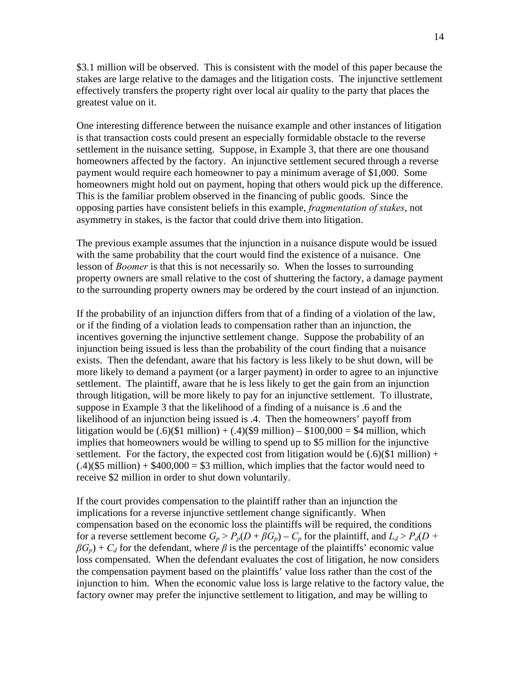\$3.1 million will be observed. This is consistent with the model of this paper because the stakes are large relative to the damages and the litigation costs. The injunctive settlement effectively transfers the property right over local air quality to the party that places the greatest value on it.

One interesting difference between the nuisance example and other instances of litigation is that transaction costs could present an especially formidable obstacle to the reverse settlement in the nuisance setting. Suppose, in Example 3, that there are one thousand homeowners affected by the factory. An injunctive settlement secured through a reverse payment would require each homeowner to pay a minimum average of \$1,000. Some homeowners might hold out on payment, hoping that others would pick up the difference. This is the familiar problem observed in the financing of public goods. Since the opposing parties have consistent beliefs in this example, *fragmentation of stakes*, not asymmetry in stakes, is the factor that could drive them into litigation.

The previous example assumes that the injunction in a nuisance dispute would be issued with the same probability that the court would find the existence of a nuisance. One lesson of *Boomer* is that this is not necessarily so. When the losses to surrounding property owners are small relative to the cost of shuttering the factory, a damage payment to the surrounding property owners may be ordered by the court instead of an injunction.

If the probability of an injunction differs from that of a finding of a violation of the law, or if the finding of a violation leads to compensation rather than an injunction, the incentives governing the injunctive settlement change. Suppose the probability of an injunction being issued is less than the probability of the court finding that a nuisance exists. Then the defendant, aware that his factory is less likely to be shut down, will be more likely to demand a payment (or a larger payment) in order to agree to an injunctive settlement. The plaintiff, aware that he is less likely to get the gain from an injunction through litigation, will be more likely to pay for an injunctive settlement. To illustrate, suppose in Example 3 that the likelihood of a finding of a nuisance is .6 and the likelihood of an injunction being issued is .4. Then the homeowners' payoff from litigation would be  $(.6)(\$1 \text{ million}) + (.4)(\$9 \text{ million}) - \$100,000 = \$4 \text{ million}, \text{which}$ implies that homeowners would be willing to spend up to \$5 million for the injunctive settlement. For the factory, the expected cost from litigation would be  $(.6)(\$1$  million) +  $(.4)(\$5$  million) + \$400,000 = \$3 million, which implies that the factor would need to receive \$2 million in order to shut down voluntarily.

If the court provides compensation to the plaintiff rather than an injunction the implications for a reverse injunctive settlement change significantly. When compensation based on the economic loss the plaintiffs will be required, the conditions for a reverse settlement become  $G_p > P_p(D + \beta G_p) - C_p$  for the plaintiff, and  $L_d > P_d(D +$  $\beta G_p$ ) +  $C_d$  for the defendant, where  $\beta$  is the percentage of the plaintiffs' economic value loss compensated. When the defendant evaluates the cost of litigation, he now considers the compensation payment based on the plaintiffs' value loss rather than the cost of the injunction to him. When the economic value loss is large relative to the factory value, the factory owner may prefer the injunctive settlement to litigation, and may be willing to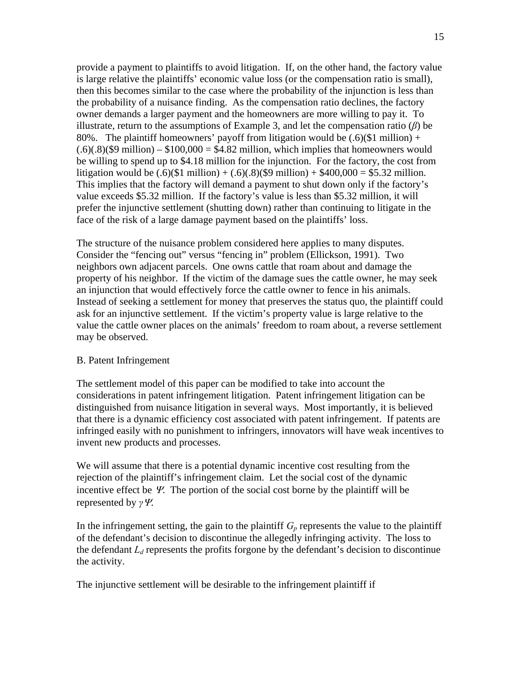provide a payment to plaintiffs to avoid litigation. If, on the other hand, the factory value is large relative the plaintiffs' economic value loss (or the compensation ratio is small), then this becomes similar to the case where the probability of the injunction is less than the probability of a nuisance finding. As the compensation ratio declines, the factory owner demands a larger payment and the homeowners are more willing to pay it. To illustrate, return to the assumptions of Example 3, and let the compensation ratio (*β*) be 80%. The plaintiff homeowners' payoff from litigation would be  $(.6)(\$1$  million) +  $(.6)(.8)($9 million) - $100,000 = $4.82 million, which implies that home owners would$ be willing to spend up to \$4.18 million for the injunction. For the factory, the cost from litigation would be  $(.6)(\$1 \text{ million}) + (.6)(.8)(\$9 \text{ million}) + \$400,000 = \$5.32 \text{ million}.$ This implies that the factory will demand a payment to shut down only if the factory's value exceeds \$5.32 million. If the factory's value is less than \$5.32 million, it will prefer the injunctive settlement (shutting down) rather than continuing to litigate in the face of the risk of a large damage payment based on the plaintiffs' loss.

The structure of the nuisance problem considered here applies to many disputes. Consider the "fencing out" versus "fencing in" problem (Ellickson, 1991). Two neighbors own adjacent parcels. One owns cattle that roam about and damage the property of his neighbor. If the victim of the damage sues the cattle owner, he may seek an injunction that would effectively force the cattle owner to fence in his animals. Instead of seeking a settlement for money that preserves the status quo, the plaintiff could ask for an injunctive settlement. If the victim's property value is large relative to the value the cattle owner places on the animals' freedom to roam about, a reverse settlement may be observed.

#### B. Patent Infringement

The settlement model of this paper can be modified to take into account the considerations in patent infringement litigation. Patent infringement litigation can be distinguished from nuisance litigation in several ways. Most importantly, it is believed that there is a dynamic efficiency cost associated with patent infringement. If patents are infringed easily with no punishment to infringers, innovators will have weak incentives to invent new products and processes.

We will assume that there is a potential dynamic incentive cost resulting from the rejection of the plaintiff's infringement claim. Let the social cost of the dynamic incentive effect be  $\mathcal{Y}$ . The portion of the social cost borne by the plaintiff will be represented by *γ*.

In the infringement setting, the gain to the plaintiff  $G_p$  represents the value to the plaintiff of the defendant's decision to discontinue the allegedly infringing activity. The loss to the defendant  $L_d$  represents the profits forgone by the defendant's decision to discontinue the activity.

The injunctive settlement will be desirable to the infringement plaintiff if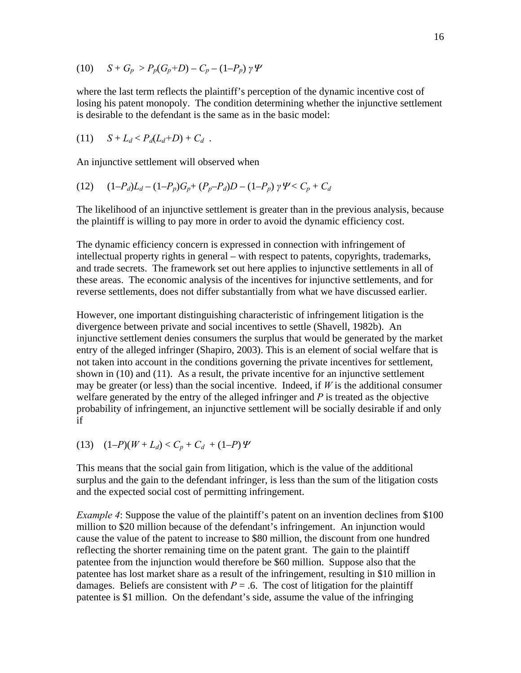(10) 
$$
S + G_p > P_p(G_p + D) - C_p - (1 - P_p) \gamma \Psi
$$

where the last term reflects the plaintiff's perception of the dynamic incentive cost of losing his patent monopoly. The condition determining whether the injunctive settlement is desirable to the defendant is the same as in the basic model:

(11) 
$$
S + L_d < P_d(L_d+D) + C_d
$$
.

An injunctive settlement will observed when

(12) 
$$
(1-P_d)L_d - (1-P_p)G_p + (P_p-P_d)D - (1-P_p)\gamma \Psi < C_p + C_d
$$

The likelihood of an injunctive settlement is greater than in the previous analysis, because the plaintiff is willing to pay more in order to avoid the dynamic efficiency cost.

The dynamic efficiency concern is expressed in connection with infringement of intellectual property rights in general – with respect to patents, copyrights, trademarks, and trade secrets. The framework set out here applies to injunctive settlements in all of these areas. The economic analysis of the incentives for injunctive settlements, and for reverse settlements, does not differ substantially from what we have discussed earlier.

However, one important distinguishing characteristic of infringement litigation is the divergence between private and social incentives to settle (Shavell, 1982b). An injunctive settlement denies consumers the surplus that would be generated by the market entry of the alleged infringer (Shapiro, 2003). This is an element of social welfare that is not taken into account in the conditions governing the private incentives for settlement, shown in (10) and (11). As a result, the private incentive for an injunctive settlement may be greater (or less) than the social incentive. Indeed, if  $W$  is the additional consumer welfare generated by the entry of the alleged infringer and *P* is treated as the objective probability of infringement, an injunctive settlement will be socially desirable if and only if

(13)  $(1-P)(W + L_d) < C_p + C_d + (1-P)\Psi$ 

This means that the social gain from litigation, which is the value of the additional surplus and the gain to the defendant infringer, is less than the sum of the litigation costs and the expected social cost of permitting infringement.

*Example 4*: Suppose the value of the plaintiff's patent on an invention declines from \$100 million to \$20 million because of the defendant's infringement. An injunction would cause the value of the patent to increase to \$80 million, the discount from one hundred reflecting the shorter remaining time on the patent grant. The gain to the plaintiff patentee from the injunction would therefore be \$60 million. Suppose also that the patentee has lost market share as a result of the infringement, resulting in \$10 million in damages. Beliefs are consistent with  $P = .6$ . The cost of litigation for the plaintiff patentee is \$1 million. On the defendant's side, assume the value of the infringing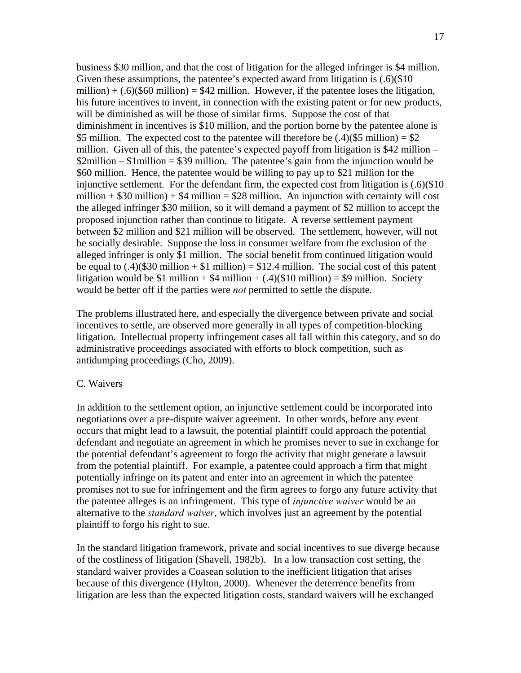business \$30 million, and that the cost of litigation for the alleged infringer is \$4 million. Given these assumptions, the patentee's expected award from litigation is  $(.6)(\$10)$ million) +  $(.6)(\$60$  million) = \$42 million. However, if the patentee loses the litigation, his future incentives to invent, in connection with the existing patent or for new products, will be diminished as will be those of similar firms. Suppose the cost of that diminishment in incentives is \$10 million, and the portion borne by the patentee alone is \$5 million. The expected cost to the patentee will therefore be  $(.4)(\$5$  million) = \$2 million. Given all of this, the patentee's expected payoff from litigation is \$42 million – \$2million – \$1million = \$39 million. The patentee's gain from the injunction would be \$60 million. Hence, the patentee would be willing to pay up to \$21 million for the injunctive settlement. For the defendant firm, the expected cost from litigation is (.6)(\$10 million  $+$  \$30 million)  $+$  \$4 million = \$28 million. An injunction with certainty will cost the alleged infringer \$30 million, so it will demand a payment of \$2 million to accept the proposed injunction rather than continue to litigate. A reverse settlement payment between \$2 million and \$21 million will be observed. The settlement, however, will not be socially desirable. Suppose the loss in consumer welfare from the exclusion of the alleged infringer is only \$1 million. The social benefit from continued litigation would be equal to  $(.4)(\$30$  million + \$1 million) = \$12.4 million. The social cost of this patent litigation would be \$1 million +  $$4$  million +  $(.4)($10$  million) = \$9 million. Society would be better off if the parties were *not* permitted to settle the dispute.

The problems illustrated here, and especially the divergence between private and social incentives to settle, are observed more generally in all types of competition-blocking litigation. Intellectual property infringement cases all fall within this category, and so do administrative proceedings associated with efforts to block competition, such as antidumping proceedings (Cho, 2009).

#### C. Waivers

In addition to the settlement option, an injunctive settlement could be incorporated into negotiations over a pre-dispute waiver agreement. In other words, before any event occurs that might lead to a lawsuit, the potential plaintiff could approach the potential defendant and negotiate an agreement in which he promises never to sue in exchange for the potential defendant's agreement to forgo the activity that might generate a lawsuit from the potential plaintiff. For example, a patentee could approach a firm that might potentially infringe on its patent and enter into an agreement in which the patentee promises not to sue for infringement and the firm agrees to forgo any future activity that the patentee alleges is an infringement. This type of *injunctive waiver* would be an alternative to the *standard waiver*, which involves just an agreement by the potential plaintiff to forgo his right to sue.

In the standard litigation framework, private and social incentives to sue diverge because of the costliness of litigation (Shavell, 1982b). In a low transaction cost setting, the standard waiver provides a Coasean solution to the inefficient litigation that arises because of this divergence (Hylton, 2000). Whenever the deterrence benefits from litigation are less than the expected litigation costs, standard waivers will be exchanged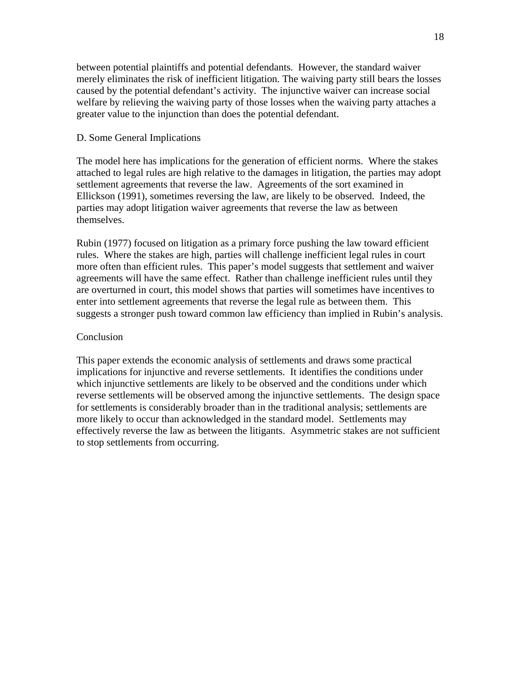between potential plaintiffs and potential defendants. However, the standard waiver merely eliminates the risk of inefficient litigation. The waiving party still bears the losses caused by the potential defendant's activity. The injunctive waiver can increase social welfare by relieving the waiving party of those losses when the waiving party attaches a greater value to the injunction than does the potential defendant.

#### D. Some General Implications

The model here has implications for the generation of efficient norms. Where the stakes attached to legal rules are high relative to the damages in litigation, the parties may adopt settlement agreements that reverse the law. Agreements of the sort examined in Ellickson (1991), sometimes reversing the law, are likely to be observed. Indeed, the parties may adopt litigation waiver agreements that reverse the law as between themselves.

Rubin (1977) focused on litigation as a primary force pushing the law toward efficient rules. Where the stakes are high, parties will challenge inefficient legal rules in court more often than efficient rules. This paper's model suggests that settlement and waiver agreements will have the same effect. Rather than challenge inefficient rules until they are overturned in court, this model shows that parties will sometimes have incentives to enter into settlement agreements that reverse the legal rule as between them. This suggests a stronger push toward common law efficiency than implied in Rubin's analysis.

#### Conclusion

This paper extends the economic analysis of settlements and draws some practical implications for injunctive and reverse settlements. It identifies the conditions under which injunctive settlements are likely to be observed and the conditions under which reverse settlements will be observed among the injunctive settlements. The design space for settlements is considerably broader than in the traditional analysis; settlements are more likely to occur than acknowledged in the standard model. Settlements may effectively reverse the law as between the litigants. Asymmetric stakes are not sufficient to stop settlements from occurring.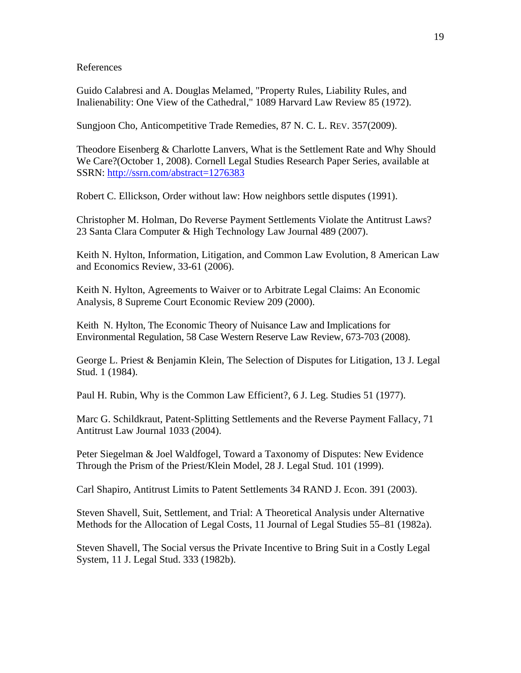References

Guido Calabresi and A. Douglas Melamed, "Property Rules, Liability Rules, and Inalienability: One View of the Cathedral," 1089 Harvard Law Review 85 (1972).

Sungjoon Cho, Anticompetitive Trade Remedies, 87 N. C. L. REV. 357(2009).

Theodore Eisenberg & Charlotte Lanvers, What is the Settlement Rate and Why Should We Care?(October 1, 2008). Cornell Legal Studies Research Paper Series, available at SSRN: http://ssrn.com/abstract=1276383

Robert C. Ellickson, Order without law: How neighbors settle disputes (1991).

Christopher M. Holman, Do Reverse Payment Settlements Violate the Antitrust Laws? 23 Santa Clara Computer & High Technology Law Journal 489 (2007).

Keith N. Hylton, Information, Litigation, and Common Law Evolution, 8 American Law and Economics Review, 33-61 (2006).

Keith N. Hylton, Agreements to Waiver or to Arbitrate Legal Claims: An Economic Analysis, 8 Supreme Court Economic Review 209 (2000).

Keith N. Hylton, The Economic Theory of Nuisance Law and Implications for Environmental Regulation, 58 Case Western Reserve Law Review, 673-703 (2008).

George L. Priest & Benjamin Klein, The Selection of Disputes for Litigation, 13 J. Legal Stud. 1 (1984).

Paul H. Rubin, Why is the Common Law Efficient?, 6 J. Leg. Studies 51 (1977).

Marc G. Schildkraut, Patent-Splitting Settlements and the Reverse Payment Fallacy, 71 Antitrust Law Journal 1033 (2004).

Peter Siegelman & Joel Waldfogel, Toward a Taxonomy of Disputes: New Evidence Through the Prism of the Priest/Klein Model, 28 J. Legal Stud. 101 (1999).

Carl Shapiro, Antitrust Limits to Patent Settlements 34 RAND J. Econ. 391 (2003).

Steven Shavell, Suit, Settlement, and Trial: A Theoretical Analysis under Alternative Methods for the Allocation of Legal Costs, 11 Journal of Legal Studies 55–81 (1982a).

Steven Shavell, The Social versus the Private Incentive to Bring Suit in a Costly Legal System, 11 J. Legal Stud. 333 (1982b).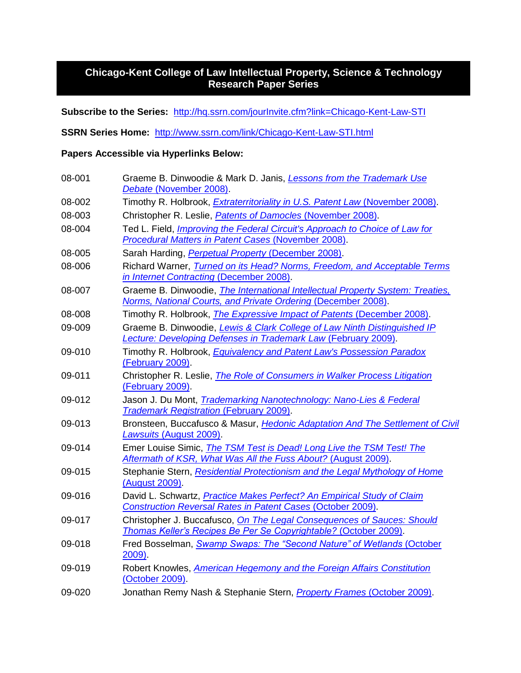# **Chicago-Kent College of Law Intellectual Property, Science & Technology Research Paper Series**

**Subscribe to the Series:** <http://hq.ssrn.com/jourInvite.cfm?link=Chicago-Kent-Law-STI>

**SSRN Series Home:** <http://www.ssrn.com/link/Chicago-Kent-Law-STI.html>

### **Papers Accessible via Hyperlinks Below:**

| 08-001 | Graeme B. Dinwoodie & Mark D. Janis, <i>Lessons from the Trademark Use</i><br>Debate (November 2008).                                           |
|--------|-------------------------------------------------------------------------------------------------------------------------------------------------|
| 08-002 | Timothy R. Holbrook, <i>Extraterritoriality in U.S. Patent Law</i> (November 2008).                                                             |
| 08-003 | Christopher R. Leslie, <i>Patents of Damocles</i> (November 2008).                                                                              |
| 08-004 | Ted L. Field, <i>Improving the Federal Circuit's Approach to Choice of Law for</i><br>Procedural Matters in Patent Cases (November 2008).       |
| 08-005 | Sarah Harding, Perpetual Property (December 2008).                                                                                              |
| 08-006 | Richard Warner, Turned on its Head? Norms, Freedom, and Acceptable Terms<br>in Internet Contracting (December 2008).                            |
| 08-007 | Graeme B. Dinwoodie, The International Intellectual Property System: Treaties,<br>Norms, National Courts, and Private Ordering (December 2008). |
| 08-008 | Timothy R. Holbrook, <i>The Expressive Impact of Patents</i> (December 2008).                                                                   |
| 09-009 | Graeme B. Dinwoodie, Lewis & Clark College of Law Ninth Distinguished IP<br>Lecture: Developing Defenses in Trademark Law (February 2009).      |
| 09-010 | Timothy R. Holbrook, <i>Equivalency and Patent Law's Possession Paradox</i><br>(February 2009).                                                 |
| 09-011 | Christopher R. Leslie, The Role of Consumers in Walker Process Litigation<br>(February 2009).                                                   |
| 09-012 | Jason J. Du Mont, <i>Trademarking Nanotechnology: Nano-Lies &amp; Federal</i><br><b>Trademark Registration (February 2009).</b>                 |
| 09-013 | Bronsteen, Buccafusco & Masur, Hedonic Adaptation And The Settlement of Civil<br>Lawsuits (August 2009).                                        |
| 09-014 | Emer Louise Simic, The TSM Test is Dead! Long Live the TSM Test! The<br>Aftermath of KSR, What Was All the Fuss About? (August 2009).           |
| 09-015 | Stephanie Stern, Residential Protectionism and the Legal Mythology of Home<br>(August 2009).                                                    |
| 09-016 | David L. Schwartz, Practice Makes Perfect? An Empirical Study of Claim<br><b>Construction Reversal Rates in Patent Cases (October 2009).</b>    |
| 09-017 | Christopher J. Buccafusco, On The Legal Consequences of Sauces: Should<br>Thomas Keller's Recipes Be Per Se Copyrightable? (October 2009).      |
| 09-018 | Fred Bosselman, Swamp Swaps: The "Second Nature" of Wetlands (October<br>2009                                                                   |
| 09-019 | Robert Knowles, American Hegemony and the Foreign Affairs Constitution<br>(October 2009).                                                       |
| 09-020 | Jonathan Remy Nash & Stephanie Stern, Property Frames (October 2009).                                                                           |